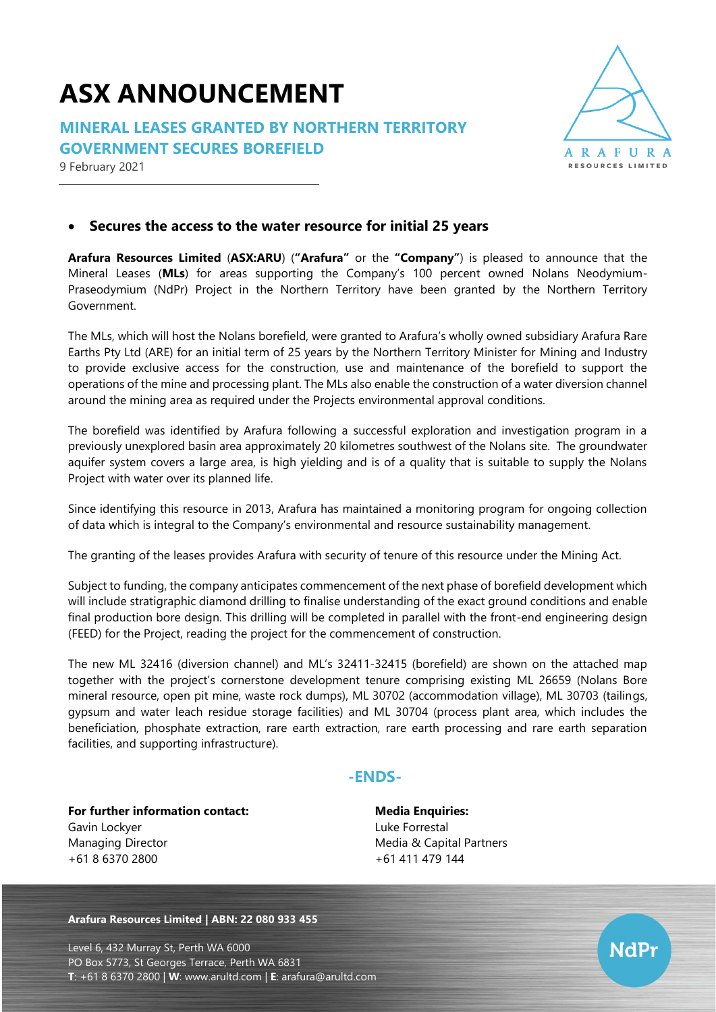## **ASX ANNOUNCEMENT**

**MINERAL LEASES GRANTED BY NORTHERN TERRITORY GOVERNMENT SECURES BOREFIELD**





## • **Secures the access to the water resource for initial 25 years**

**Arafura Resources Limited** (**ASX:ARU**) (**"Arafura"** or the **"Company"**) is pleased to announce that the Mineral Leases (**MLs**) for areas supporting the Company's 100 percent owned Nolans Neodymium-Praseodymium (NdPr) Project in the Northern Territory have been granted by the Northern Territory Government.

The MLs, which will host the Nolans borefield, were granted to Arafura's wholly owned subsidiary Arafura Rare Earths Pty Ltd (ARE) for an initial term of 25 years by the Northern Territory Minister for Mining and Industry to provide exclusive access for the construction, use and maintenance of the borefield to support the operations of the mine and processing plant. The MLs also enable the construction of a water diversion channel around the mining area as required under the Projects environmental approval conditions.

The borefield was identified by Arafura following a successful exploration and investigation program in a previously unexplored basin area approximately 20 kilometres southwest of the Nolans site. The groundwater aquifer system covers a large area, is high yielding and is of a quality that is suitable to supply the Nolans Project with water over its planned life.

Since identifying this resource in 2013, Arafura has maintained a monitoring program for ongoing collection of data which is integral to the Company's environmental and resource sustainability management.

The granting of the leases provides Arafura with security of tenure of this resource under the Mining Act.

Subject to funding, the company anticipates commencement of the next phase of borefield development which will include stratigraphic diamond drilling to finalise understanding of the exact ground conditions and enable final production bore design. This drilling will be completed in parallel with the front-end engineering design (FEED) for the Project, reading the project for the commencement of construction.

The new ML 32416 (diversion channel) and ML's 32411-32415 (borefield) are shown on the attached map together with the project's cornerstone development tenure comprising existing ML 26659 (Nolans Bore mineral resource, open pit mine, waste rock dumps), ML 30702 (accommodation village), ML 30703 (tailings, gypsum and water leach residue storage facilities) and ML 30704 (process plant area, which includes the beneficiation, phosphate extraction, rare earth extraction, rare earth processing and rare earth separation facilities, and supporting infrastructure).

## **-ENDS-**

**For further information contact:** Gavin Lockyer Managing Director +61 8 6370 2800

**Media Enquiries:** Luke Forrestal Media & Capital Partners +61 411 479 144

**Arafura Resources Limited | ABN: 22 080 933 455**

Level 6, 432 Murray St, Perth WA 6000 PO Box 5773, St Georges Terrace, Perth WA 6831 **T**: +61 8 6370 2800 | **W**: [www.arultd.com](http://www.arultd.com/) | **E**: [arafura@arultd.com](mailto:arafura@arultd.com)

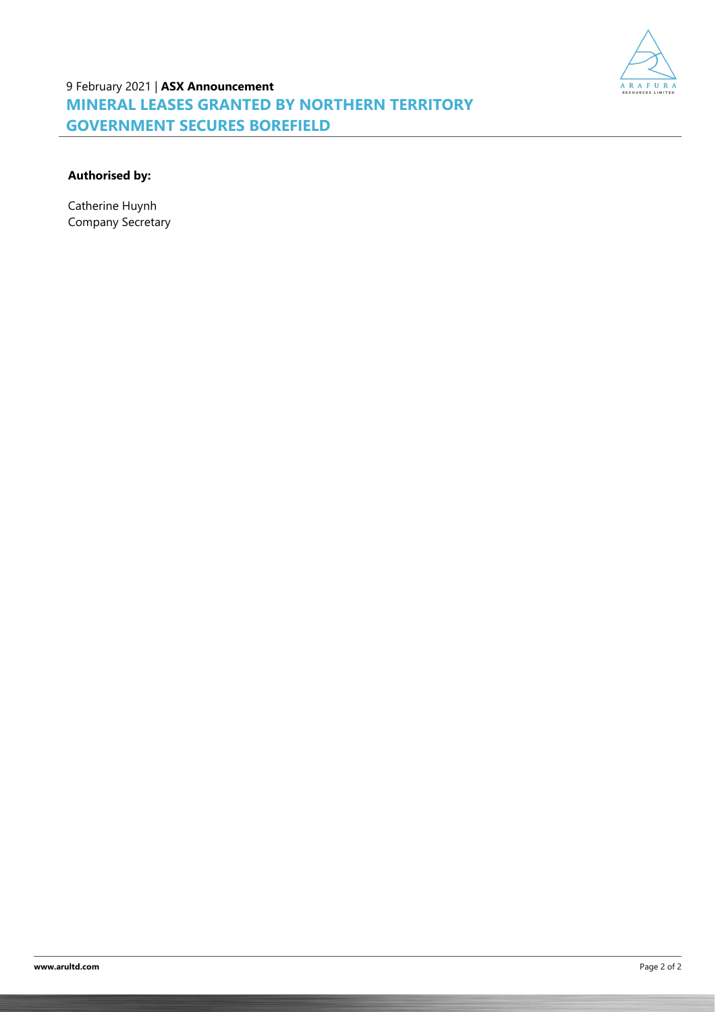

9 February 2021 | **ASX Announcement MINERAL LEASES GRANTED BY NORTHERN TERRITORY GOVERNMENT SECURES BOREFIELD**

## **Authorised by:**

Catherine Huynh Company Secretary